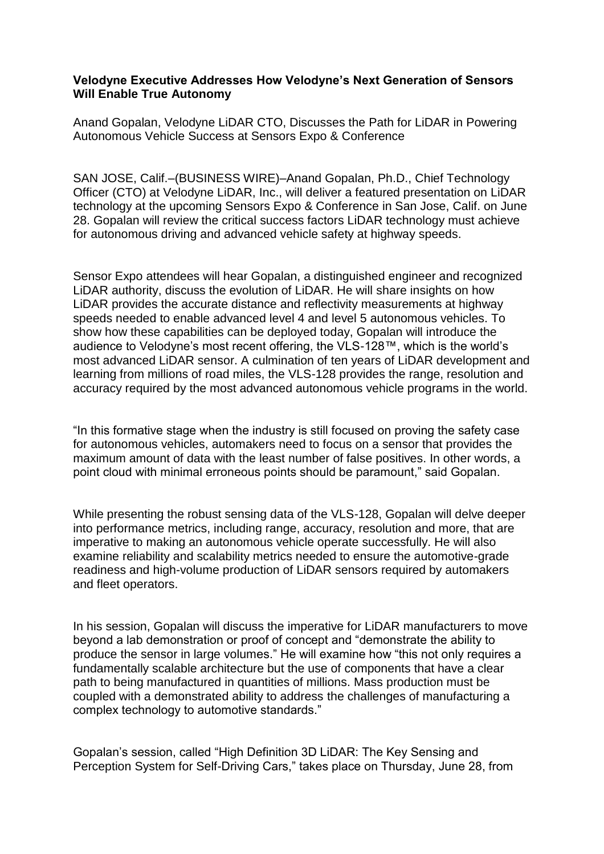## **Velodyne Executive Addresses How Velodyne's Next Generation of Sensors Will Enable True Autonomy**

Anand Gopalan, Velodyne LiDAR CTO, Discusses the Path for LiDAR in Powering Autonomous Vehicle Success at Sensors Expo & Conference

SAN JOSE, Calif.–(BUSINESS WIRE)–Anand Gopalan, Ph.D., Chief Technology Officer (CTO) at Velodyne LiDAR, Inc., will deliver a featured presentation on LiDAR technology at the upcoming Sensors Expo & Conference in San Jose, Calif. on June 28. Gopalan will review the critical success factors LiDAR technology must achieve for autonomous driving and advanced vehicle safety at highway speeds.

Sensor Expo attendees will hear Gopalan, a distinguished engineer and recognized LiDAR authority, discuss the evolution of LiDAR. He will share insights on how LiDAR provides the accurate distance and reflectivity measurements at highway speeds needed to enable advanced level 4 and level 5 autonomous vehicles. To show how these capabilities can be deployed today, Gopalan will introduce the audience to Velodyne's most recent offering, the VLS-128™, which is the world's most advanced LiDAR sensor. A culmination of ten years of LiDAR development and learning from millions of road miles, the VLS-128 provides the range, resolution and accuracy required by the most advanced autonomous vehicle programs in the world.

"In this formative stage when the industry is still focused on proving the safety case for autonomous vehicles, automakers need to focus on a sensor that provides the maximum amount of data with the least number of false positives. In other words, a point cloud with minimal erroneous points should be paramount," said Gopalan.

While presenting the robust sensing data of the VLS-128, Gopalan will delve deeper into performance metrics, including range, accuracy, resolution and more, that are imperative to making an autonomous vehicle operate successfully. He will also examine reliability and scalability metrics needed to ensure the automotive-grade readiness and high-volume production of LiDAR sensors required by automakers and fleet operators.

In his session, Gopalan will discuss the imperative for LiDAR manufacturers to move beyond a lab demonstration or proof of concept and "demonstrate the ability to produce the sensor in large volumes." He will examine how "this not only requires a fundamentally scalable architecture but the use of components that have a clear path to being manufactured in quantities of millions. Mass production must be coupled with a demonstrated ability to address the challenges of manufacturing a complex technology to automotive standards."

Gopalan's session, called "High Definition 3D LiDAR: The Key Sensing and Perception System for Self-Driving Cars," takes place on Thursday, June 28, from